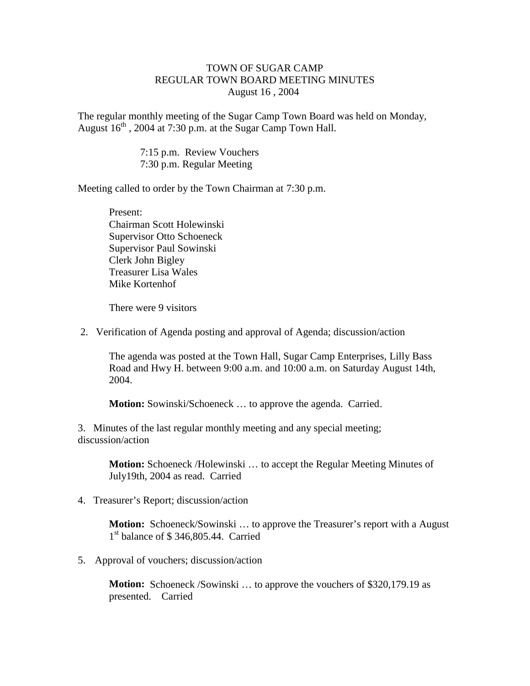## TOWN OF SUGAR CAMP REGULAR TOWN BOARD MEETING MINUTES August 16 , 2004

The regular monthly meeting of the Sugar Camp Town Board was held on Monday, August  $16<sup>th</sup>$ , 2004 at 7:30 p.m. at the Sugar Camp Town Hall.

> 7:15 p.m. Review Vouchers 7:30 p.m. Regular Meeting

Meeting called to order by the Town Chairman at 7:30 p.m.

Present: Chairman Scott Holewinski Supervisor Otto Schoeneck Supervisor Paul Sowinski Clerk John Bigley Treasurer Lisa Wales Mike Kortenhof

There were 9 visitors

2. Verification of Agenda posting and approval of Agenda; discussion/action

The agenda was posted at the Town Hall, Sugar Camp Enterprises, Lilly Bass Road and Hwy H. between 9:00 a.m. and 10:00 a.m. on Saturday August 14th, 2004.

**Motion:** Sowinski/Schoeneck ... to approve the agenda. Carried.

3. Minutes of the last regular monthly meeting and any special meeting; discussion/action

> **Motion:** Schoeneck /Holewinski ... to accept the Regular Meeting Minutes of July19th, 2004 as read. Carried

4. Treasurer's Report; discussion/action

**Motion:** Schoeneck/Sowinski ... to approve the Treasurer's report with a August 1 st balance of \$ 346,805.44. Carried

5. Approval of vouchers; discussion/action

**Motion:** Schoeneck /Sowinski ... to approve the vouchers of \$320,179.19 as presented. Carried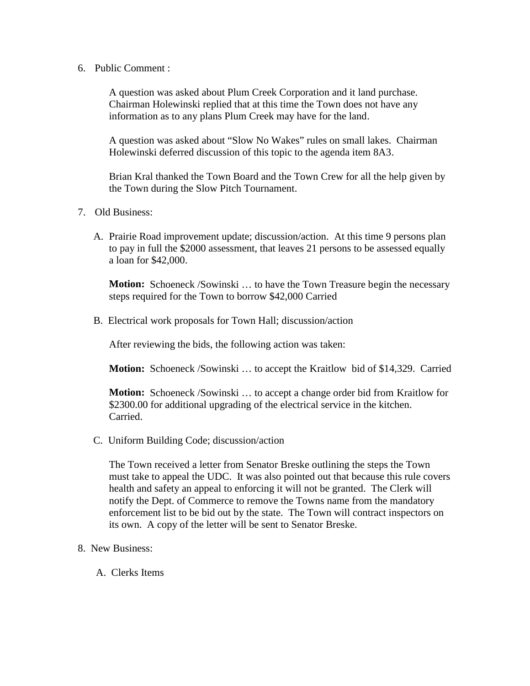6. Public Comment :

A question was asked about Plum Creek Corporation and it land purchase. Chairman Holewinski replied that at this time the Town does not have any information as to any plans Plum Creek may have for the land.

A question was asked about "Slow No Wakes" rules on small lakes. Chairman Holewinski deferred discussion of this topic to the agenda item 8A3.

Brian Kral thanked the Town Board and the Town Crew for all the help given by the Town during the Slow Pitch Tournament.

- 7. Old Business:
	- A. Prairie Road improvement update; discussion/action. At this time 9 persons plan to pay in full the \$2000 assessment, that leaves 21 persons to be assessed equally a loan for \$42,000.

**Motion:** Schoeneck /Sowinski ... to have the Town Treasure begin the necessary steps required for the Town to borrow \$42,000 Carried

B. Electrical work proposals for Town Hall; discussion/action

After reviewing the bids, the following action was taken:

**Motion:** Schoeneck /Sowinski … to accept the Kraitlow bid of \$14,329. Carried

**Motion:** Schoeneck /Sowinski … to accept a change order bid from Kraitlow for \$2300.00 for additional upgrading of the electrical service in the kitchen. Carried.

C*.* Uniform Building Code; discussion/action

The Town received a letter from Senator Breske outlining the steps the Town must take to appeal the UDC. It was also pointed out that because this rule covers health and safety an appeal to enforcing it will not be granted. The Clerk will notify the Dept. of Commerce to remove the Towns name from the mandatory enforcement list to be bid out by the state. The Town will contract inspectors on its own. A copy of the letter will be sent to Senator Breske.

- 8. New Business:
	- A. Clerks Items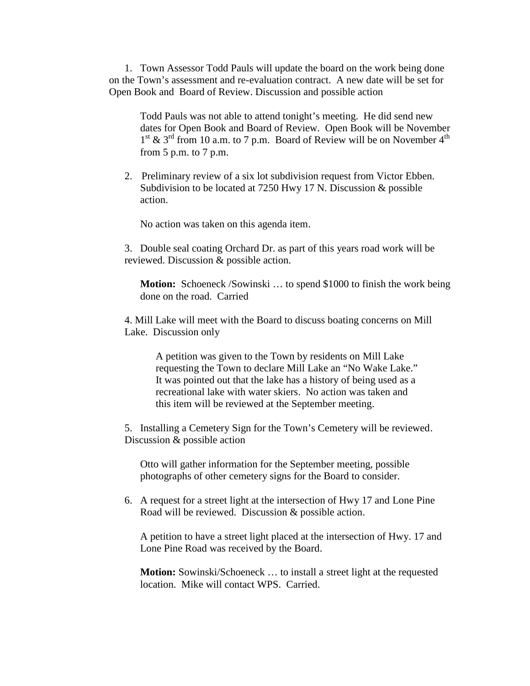1. Town Assessor Todd Pauls will update the board on the work being done on the Town's assessment and re-evaluation contract. A new date will be set for Open Book and Board of Review. Discussion and possible action

Todd Pauls was not able to attend tonight's meeting. He did send new dates for Open Book and Board of Review. Open Book will be November  $1<sup>st</sup>$  & 3<sup>rd</sup> from 10 a.m. to 7 p.m. Board of Review will be on November 4<sup>th</sup> from 5 p.m. to 7 p.m.

2. Preliminary review of a six lot subdivision request from Victor Ebben. Subdivision to be located at 7250 Hwy 17 N. Discussion & possible action.

No action was taken on this agenda item.

3. Double seal coating Orchard Dr. as part of this years road work will be reviewed. Discussion & possible action.

**Motion:** Schoeneck /Sowinski … to spend \$1000 to finish the work being done on the road. Carried

4. Mill Lake will meet with the Board to discuss boating concerns on Mill Lake. Discussion only

> A petition was given to the Town by residents on Mill Lake requesting the Town to declare Mill Lake an "No Wake Lake." It was pointed out that the lake has a history of being used as a recreational lake with water skiers. No action was taken and this item will be reviewed at the September meeting.

5. Installing a Cemetery Sign for the Town's Cemetery will be reviewed. Discussion & possible action

Otto will gather information for the September meeting, possible photographs of other cemetery signs for the Board to consider.

6. A request for a street light at the intersection of Hwy 17 and Lone Pine Road will be reviewed. Discussion & possible action.

 A petition to have a street light placed at the intersection of Hwy. 17 and Lone Pine Road was received by the Board.

**Motion:** Sowinski/Schoeneck ... to install a street light at the requested location. Mike will contact WPS. Carried.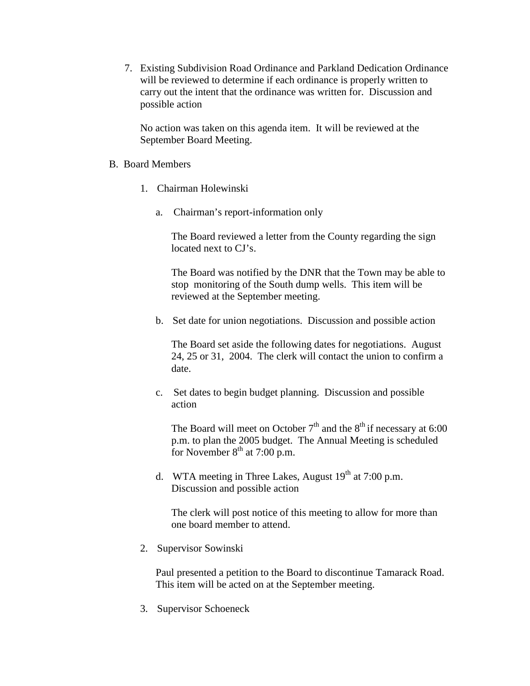7. Existing Subdivision Road Ordinance and Parkland Dedication Ordinance will be reviewed to determine if each ordinance is properly written to carry out the intent that the ordinance was written for. Discussion and possible action

No action was taken on this agenda item. It will be reviewed at the September Board Meeting.

- B. Board Members
	- 1. Chairman Holewinski
		- a. Chairman's report-information only

The Board reviewed a letter from the County regarding the sign located next to CJ's.

The Board was notified by the DNR that the Town may be able to stop monitoring of the South dump wells. This item will be reviewed at the September meeting.

b. Set date for union negotiations. Discussion and possible action

The Board set aside the following dates for negotiations. August 24, 25 or 31, 2004. The clerk will contact the union to confirm a date.

c. Set dates to begin budget planning. Discussion and possible action

The Board will meet on October  $7<sup>th</sup>$  and the  $8<sup>th</sup>$  if necessary at 6:00 p.m. to plan the 2005 budget. The Annual Meeting is scheduled for November  $8<sup>th</sup>$  at 7:00 p.m.

d. WTA meeting in Three Lakes, August  $19<sup>th</sup>$  at 7:00 p.m. Discussion and possible action

The clerk will post notice of this meeting to allow for more than one board member to attend.

2. Supervisor Sowinski

Paul presented a petition to the Board to discontinue Tamarack Road. This item will be acted on at the September meeting.

3. Supervisor Schoeneck